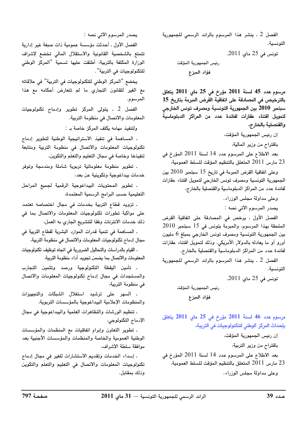الفصل 2 ـ ينشر هذا المرسوم بالرائد الرسمى للجمهورية التونسية.

تونس في 25 ماي 2011.

رئيس الجمهورية المؤقت فؤاد المبزع

مرسوم عدد 45 لسنة 2011 مؤرخ في 25 ماي 2011 يتعلق بالترخيص في المصادقة على اتفاقية القرض المبرمة بتاريخ 15 سبتمبر 2010 بين الجمهورية التونسية ومصرف تونس الخارجي لتمويل اقتناء عقارات لفائدة عدد من المراكز الدبلوماسية والقنصلية بالخارج.

> إن رئيس الجمهورية المؤقت، باقتراح من وزير المالية،

بعد الاطلاع على المرسوم عدد 14 لسنة 2011 المؤرخ في 23 مارس 2011 المتعلق بالتنظيم المؤقت للسلط العمومية،

وعلى اتفاقية القرض المبرمة في تاريخ 15 سبتمبر 2010 بين الجمهورية التونسية ومصرف تونس الخارجى لتمويل اقتناء عقارات لفائدة عدد من المراكز الدبلوماسية والقنصلية بالخارج،

وعلى مداولة مجلس الوزراء.

يصدر المرسوم الآتي نصه :

الفصل الأول . يرخص في المصادقة على اتفاقية القرض الملحقة بهذا المرسوم، والمبرمة بتونس في 15 سبتمبر 2010 بين الجمهورية التونسية ومصرف تونس الخارجي بمبلغ 6 مليون أورو أو ما يعادله بالدولار الأمريكي، وذلك لتمويل اقتناء عقارات لفائدة عدد من المراكز الدبلوماسية والقنصلية بالخارج.

الفصل 2 ـ ينشر هذا المرسوم بالرائد الرسمى للجمهورية التونسية.

تونس في 25 ماي 2011.

رئيس الجمهورية المؤقت فؤاد المبزع

مرسوم عدد 46 لسنة 2011 مؤرخ في 25 ماي 2011 يتعلق بإحداث المركز الوطنى للتكنولوجيات فى التربية.

إن رئيس الجمهورية المؤقت، باقتراح من وزير التربية، بعد الاطلاع على المرسوم عدد 14 لسنة 2011 المؤرخ في 23 مارس 2011 المتعلق بالتنظيم المؤقت للسلط العمومية، وعلى مداولة مجلس الوزراء.

يصدر المرسوم الآتي نصه :

الفصل الأول . أحدثت مؤسسة عمومية ذات صبغة غير إدارية تتمتع بالشخصية القانونية والاستقلال المالى تخضع لإشراف الوزارة المكلفة بالتربية، أطلقت عليها تسمية "المركز الوطني للتكنولوجيات في التربية".

يخضع "المركز الوطني للتكنولوجيات في التربية" في علاقاته مع الغير للقانون التجاري ما لم تتعارض أحكامه مع هذا المرسوم.

الفصل 2 ۔ يتولى المركز تطوير وإدماج تكنولوجيات المعلومات والاتصال في منظومة التربية.

ولتنفيذ مهامه يكلف المركز خاصة به:

. المساهمة في تنفيذ الاستراتيجية الوطنية لتطوير إدماج تكنولوجيات المعلومات والاتصال فى منظومة التربية ومتابعة تنفيذها وخاصة في مجال التعليم والتعلم والتكوين،

. تطوير منظومة معلوماتية تربوية شاملة ومندمجة وتوفر خدمات بيداغوجية وتكوينية عن بعد،

. تطوير المحتويات البيداغوجية الرقمية لجميع المراحل التعليمية حسب البرامج الرسمية المعتمدة،

. تزويد قطاع التربية بخدمات فى مجال اختصاصه تعتمد على مواكبة تطورات تكنولوجيات المعلومات والاتصال بما فى ذلك خدمات الانترنات وفقا للتشريع الجارى به العمل،

. المساهمة في تنمية قدرات الموارد البشرية لقطاع التربية في مجال إدماج تكنولوجيات المعلومات والاتصال في منظومة التربية،

ـ القيام بالدراسات والتحاليل الضرورية في اتجاه توظيف تكنولوجيات المعلومات والاتصال بما يضمن تجويد أداء منظومة التربية،

. تأمين اليقظة التكنولوجية ورصد وتثمين التجارب والمستجدات في مجال إدماج تكنولوجيات المعلومات والاتصال في منظومة التربية،

. السهر على ترشيد استغلال الشبكات والتجهيزات والمنظومات الإعلامية البيداغوجية بالمؤسسات التربوية،

. تنظيم الورشات والتظاهرات العلمية والبيداغوجية في مجال الإدماج التكنولوجي،

ـ تطوير التعاون وإبرام اتفاقيات مع المنظمات والمؤسسات الوطنية العمومية والخاصة والمنظمات والمؤسسات الأجنبية بعد موافقة سلطة الإشراف،

. إسداء الخدمات وتقديم الاستشارات للغير في مجال إدماج تكنولوجيات المعلومات والاتصال فى التعليم والتعلم والتكوين وذلك بمقابل.